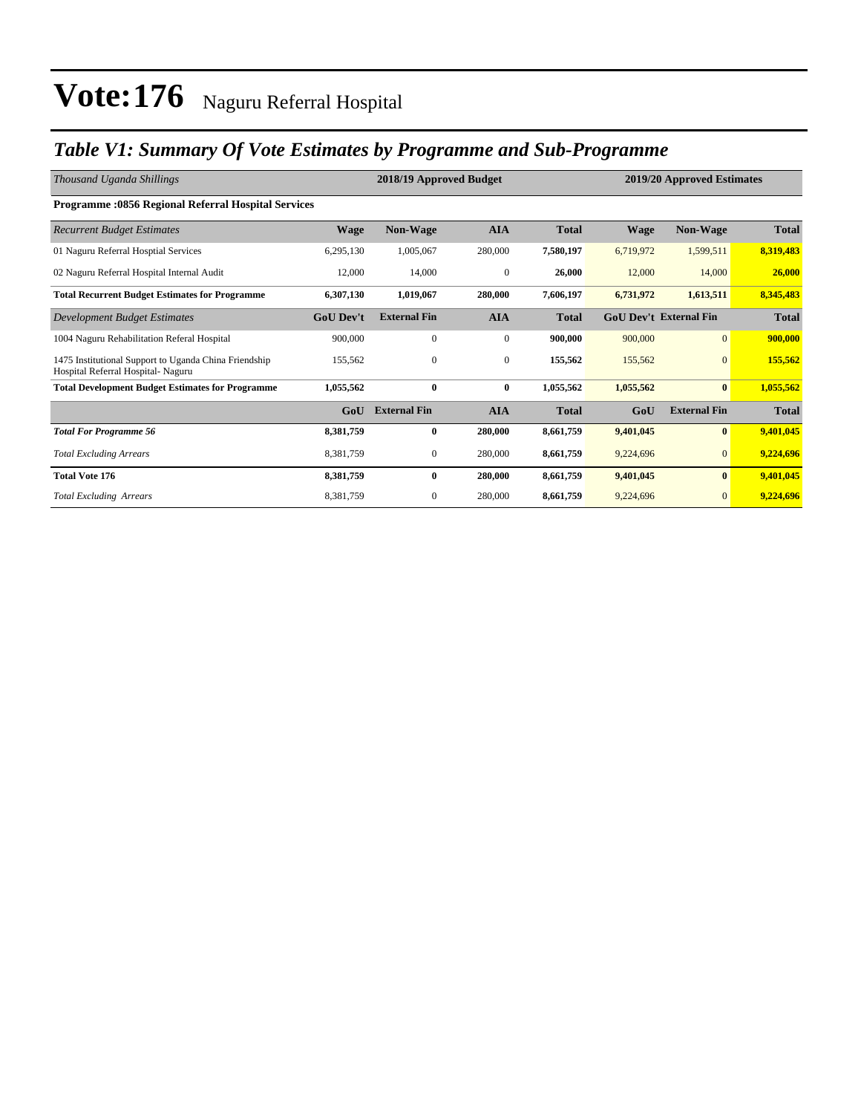### *Table V1: Summary Of Vote Estimates by Programme and Sub-Programme*

| Thousand Uganda Shillings                                                                   | 2018/19 Approved Budget<br>2019/20 Approved Estimates |                     |                  |              |             |                               |              |
|---------------------------------------------------------------------------------------------|-------------------------------------------------------|---------------------|------------------|--------------|-------------|-------------------------------|--------------|
| Programme :0856 Regional Referral Hospital Services                                         |                                                       |                     |                  |              |             |                               |              |
| <b>Recurrent Budget Estimates</b>                                                           | <b>Wage</b>                                           | <b>Non-Wage</b>     | <b>AIA</b>       | <b>Total</b> | <b>Wage</b> | <b>Non-Wage</b>               | <b>Total</b> |
| 01 Naguru Referral Hosptial Services                                                        | 6,295,130                                             | 1,005,067           | 280,000          | 7,580,197    | 6,719,972   | 1,599,511                     | 8,319,483    |
| 02 Naguru Referral Hospital Internal Audit                                                  | 12,000                                                | 14,000              | $\boldsymbol{0}$ | 26,000       | 12,000      | 14,000                        | 26,000       |
| <b>Total Recurrent Budget Estimates for Programme</b>                                       | 6,307,130                                             | 1,019,067           | 280,000          | 7,606,197    | 6,731,972   | 1,613,511                     | 8,345,483    |
| Development Budget Estimates                                                                | <b>GoU</b> Dev't                                      | <b>External Fin</b> | <b>AIA</b>       | <b>Total</b> |             | <b>GoU Dev't External Fin</b> | <b>Total</b> |
| 1004 Naguru Rehabilitation Referal Hospital                                                 | 900,000                                               | $\mathbf{0}$        | $\mathbf{0}$     | 900,000      | 900,000     | $\mathbf{0}$                  | 900,000      |
| 1475 Institutional Support to Uganda China Friendship<br>Hospital Referral Hospital- Naguru | 155,562                                               | $\mathbf{0}$        | $\mathbf{0}$     | 155,562      | 155,562     | $\mathbf{0}$                  | 155,562      |
| <b>Total Development Budget Estimates for Programme</b>                                     | 1,055,562                                             | $\bf{0}$            | $\bf{0}$         | 1,055,562    | 1,055,562   | $\bf{0}$                      | 1,055,562    |
|                                                                                             | GoU                                                   | <b>External Fin</b> | <b>AIA</b>       | <b>Total</b> | GoU         | <b>External Fin</b>           | <b>Total</b> |
| <b>Total For Programme 56</b>                                                               | 8,381,759                                             | $\mathbf{0}$        | 280,000          | 8,661,759    | 9,401,045   | $\bf{0}$                      | 9,401,045    |
| <b>Total Excluding Arrears</b>                                                              | 8,381,759                                             | $\mathbf{0}$        | 280,000          | 8,661,759    | 9,224,696   | $\mathbf{0}$                  | 9,224,696    |
| <b>Total Vote 176</b>                                                                       | 8,381,759                                             | $\mathbf{0}$        | 280,000          | 8,661,759    | 9,401,045   | $\bf{0}$                      | 9,401,045    |
| <b>Total Excluding Arrears</b>                                                              | 8,381,759                                             | $\mathbf{0}$        | 280,000          | 8,661,759    | 9,224,696   | $\mathbf{0}$                  | 9,224,696    |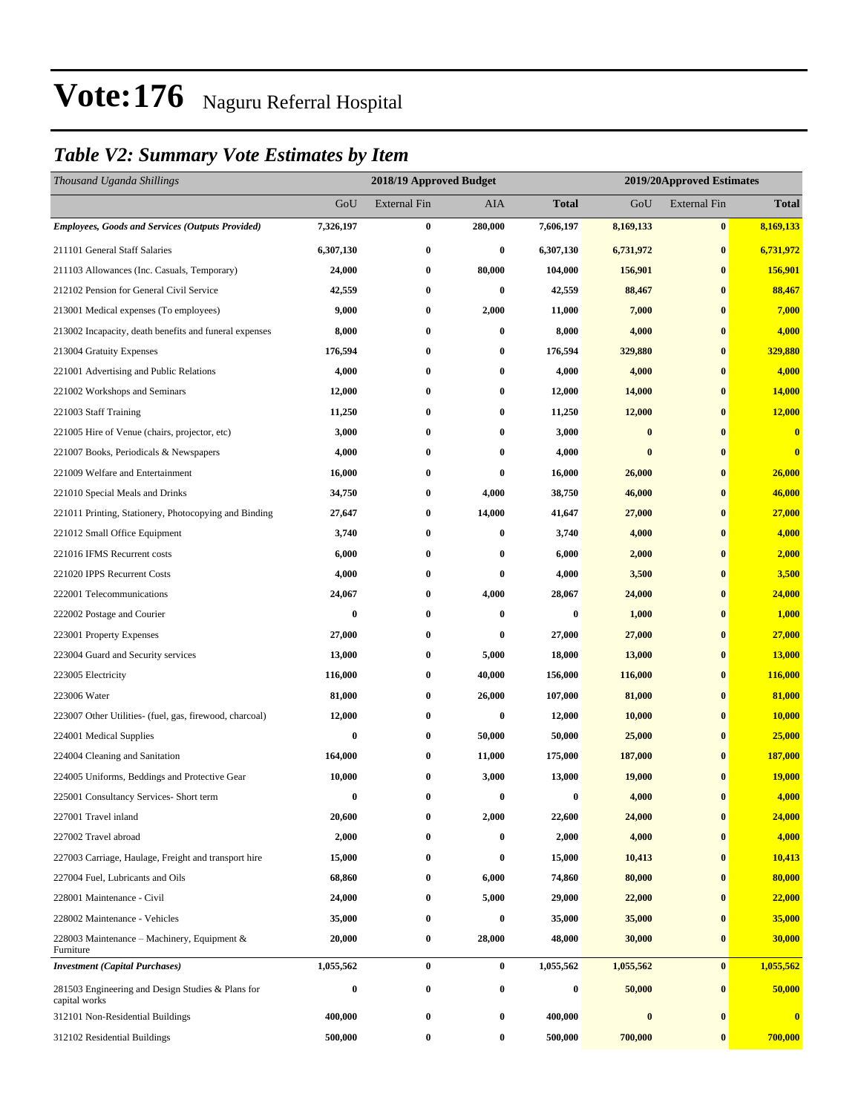### *Table V2: Summary Vote Estimates by Item*

| Thousand Uganda Shillings                                          |           | 2018/19 Approved Budget |          |                  |           | 2019/20Approved Estimates |               |  |  |
|--------------------------------------------------------------------|-----------|-------------------------|----------|------------------|-----------|---------------------------|---------------|--|--|
|                                                                    | GoU       | <b>External Fin</b>     | AIA      | <b>Total</b>     | GoU       | <b>External Fin</b>       | <b>Total</b>  |  |  |
| <b>Employees, Goods and Services (Outputs Provided)</b>            | 7,326,197 | $\boldsymbol{0}$        | 280,000  | 7,606,197        | 8,169,133 | $\bf{0}$                  | 8,169,133     |  |  |
| 211101 General Staff Salaries                                      | 6,307,130 | $\bf{0}$                | $\bf{0}$ | 6,307,130        | 6,731,972 | $\bf{0}$                  | 6,731,972     |  |  |
| 211103 Allowances (Inc. Casuals, Temporary)                        | 24,000    | 0                       | 80,000   | 104,000          | 156,901   | $\bf{0}$                  | 156,901       |  |  |
| 212102 Pension for General Civil Service                           | 42,559    | $\bf{0}$                | $\bf{0}$ | 42,559           | 88,467    | $\bf{0}$                  | 88,467        |  |  |
| 213001 Medical expenses (To employees)                             | 9,000     | $\bf{0}$                | 2,000    | 11,000           | 7,000     | $\bf{0}$                  | 7,000         |  |  |
| 213002 Incapacity, death benefits and funeral expenses             | 8,000     | $\bf{0}$                | $\bf{0}$ | 8,000            | 4,000     | $\bf{0}$                  | 4,000         |  |  |
| 213004 Gratuity Expenses                                           | 176,594   | 0                       | $\bf{0}$ | 176,594          | 329,880   | $\bf{0}$                  | 329,880       |  |  |
| 221001 Advertising and Public Relations                            | 4,000     | 0                       | $\bf{0}$ | 4,000            | 4,000     | $\bf{0}$                  | 4,000         |  |  |
| 221002 Workshops and Seminars                                      | 12,000    | $\bf{0}$                | $\bf{0}$ | 12,000           | 14,000    | $\bf{0}$                  | 14,000        |  |  |
| 221003 Staff Training                                              | 11,250    | 0                       | $\bf{0}$ | 11,250           | 12,000    | $\bf{0}$                  | 12,000        |  |  |
| 221005 Hire of Venue (chairs, projector, etc)                      | 3,000     | $\bf{0}$                | $\bf{0}$ | 3,000            | $\bf{0}$  | $\bf{0}$                  | $\bf{0}$      |  |  |
| 221007 Books, Periodicals & Newspapers                             | 4,000     | $\bf{0}$                | $\bf{0}$ | 4,000            | $\bf{0}$  | $\bf{0}$                  | $\bf{0}$      |  |  |
| 221009 Welfare and Entertainment                                   | 16,000    | 0                       | $\bf{0}$ | 16,000           | 26,000    | $\bf{0}$                  | 26,000        |  |  |
| 221010 Special Meals and Drinks                                    | 34,750    | $\bf{0}$                | 4,000    | 38,750           | 46,000    | $\bf{0}$                  | 46,000        |  |  |
| 221011 Printing, Stationery, Photocopying and Binding              | 27,647    | 0                       | 14,000   | 41,647           | 27,000    | $\bf{0}$                  | 27,000        |  |  |
| 221012 Small Office Equipment                                      | 3,740     | $\bf{0}$                | $\bf{0}$ | 3,740            | 4,000     | $\bf{0}$                  | 4,000         |  |  |
| 221016 IFMS Recurrent costs                                        | 6,000     | $\bf{0}$                | $\bf{0}$ | 6,000            | 2,000     | $\bf{0}$                  | 2,000         |  |  |
| 221020 IPPS Recurrent Costs                                        | 4,000     | 0                       | $\bf{0}$ | 4,000            | 3,500     | $\bf{0}$                  | 3,500         |  |  |
| 222001 Telecommunications                                          | 24,067    | $\bf{0}$                | 4,000    | 28,067           | 24,000    | $\bf{0}$                  | 24,000        |  |  |
| 222002 Postage and Courier                                         | $\bf{0}$  | $\bf{0}$                | $\bf{0}$ | $\bf{0}$         | 1,000     | $\bf{0}$                  | 1,000         |  |  |
| 223001 Property Expenses                                           | 27,000    | $\bf{0}$                | $\bf{0}$ | 27,000           | 27,000    | $\bf{0}$                  | 27,000        |  |  |
| 223004 Guard and Security services                                 | 13,000    | $\bf{0}$                | 5,000    | 18,000           | 13,000    | $\bf{0}$                  | 13,000        |  |  |
| 223005 Electricity                                                 | 116,000   | $\bf{0}$                | 40,000   | 156,000          | 116,000   | $\bf{0}$                  | 116,000       |  |  |
| 223006 Water                                                       | 81,000    | $\bf{0}$                | 26,000   | 107,000          | 81,000    | $\bf{0}$                  | 81,000        |  |  |
| 223007 Other Utilities- (fuel, gas, firewood, charcoal)            | 12,000    | $\bf{0}$                | $\bf{0}$ | 12,000           | 10,000    | $\bf{0}$                  | <b>10,000</b> |  |  |
| 224001 Medical Supplies                                            | 0         | $\bf{0}$                | 50,000   | 50,000           | 25,000    | $\bf{0}$                  | 25,000        |  |  |
| 224004 Cleaning and Sanitation                                     | 164,000   | $\bf{0}$                | 11,000   | 175,000          | 187,000   | $\bf{0}$                  | 187,000       |  |  |
| 224005 Uniforms, Beddings and Protective Gear                      | 10,000    | 0                       | 3,000    | 13,000           | 19,000    | $\bf{0}$                  | <b>19,000</b> |  |  |
| 225001 Consultancy Services- Short term                            | $\bf{0}$  | $\bf{0}$                | $\bf{0}$ | $\bf{0}$         | 4,000     | $\mathbf{0}$              | 4,000         |  |  |
| 227001 Travel inland                                               | 20,600    | $\bf{0}$                | 2,000    | 22,600           | 24,000    | $\bf{0}$                  | 24,000        |  |  |
| 227002 Travel abroad                                               | 2,000     | $\bf{0}$                | $\bf{0}$ | 2,000            | 4,000     | $\bf{0}$                  | 4,000         |  |  |
| 227003 Carriage, Haulage, Freight and transport hire               | 15,000    | $\bf{0}$                | $\bf{0}$ | 15,000           | 10,413    | $\bf{0}$                  | 10,413        |  |  |
| 227004 Fuel, Lubricants and Oils                                   | 68,860    | $\bf{0}$                | 6,000    | 74,860           | 80,000    | $\bf{0}$                  | 80,000        |  |  |
| 228001 Maintenance - Civil                                         | 24,000    | $\bf{0}$                | 5,000    | 29,000           | 22,000    | $\bf{0}$                  | 22,000        |  |  |
| 228002 Maintenance - Vehicles                                      | 35,000    | $\bf{0}$                | $\bf{0}$ | 35,000           | 35,000    | $\bf{0}$                  | 35,000        |  |  |
| 228003 Maintenance – Machinery, Equipment $\&$<br>Furniture        | 20,000    | $\boldsymbol{0}$        | 28,000   | 48,000           | 30,000    | $\bf{0}$                  | 30,000        |  |  |
| <b>Investment</b> (Capital Purchases)                              | 1,055,562 | $\boldsymbol{0}$        | $\bf{0}$ | 1,055,562        | 1,055,562 | $\pmb{0}$                 | 1,055,562     |  |  |
| 281503 Engineering and Design Studies & Plans for<br>capital works | 0         | $\boldsymbol{0}$        | $\bf{0}$ | $\boldsymbol{0}$ | 50,000    | $\bf{0}$                  | 50,000        |  |  |
| 312101 Non-Residential Buildings                                   | 400,000   | $\boldsymbol{0}$        | $\bf{0}$ | 400,000          | $\pmb{0}$ | $\bf{0}$                  | $\bf{0}$      |  |  |
| 312102 Residential Buildings                                       | 500,000   | $\boldsymbol{0}$        | $\bf{0}$ | 500,000          | 700,000   | $\bf{0}$                  | 700,000       |  |  |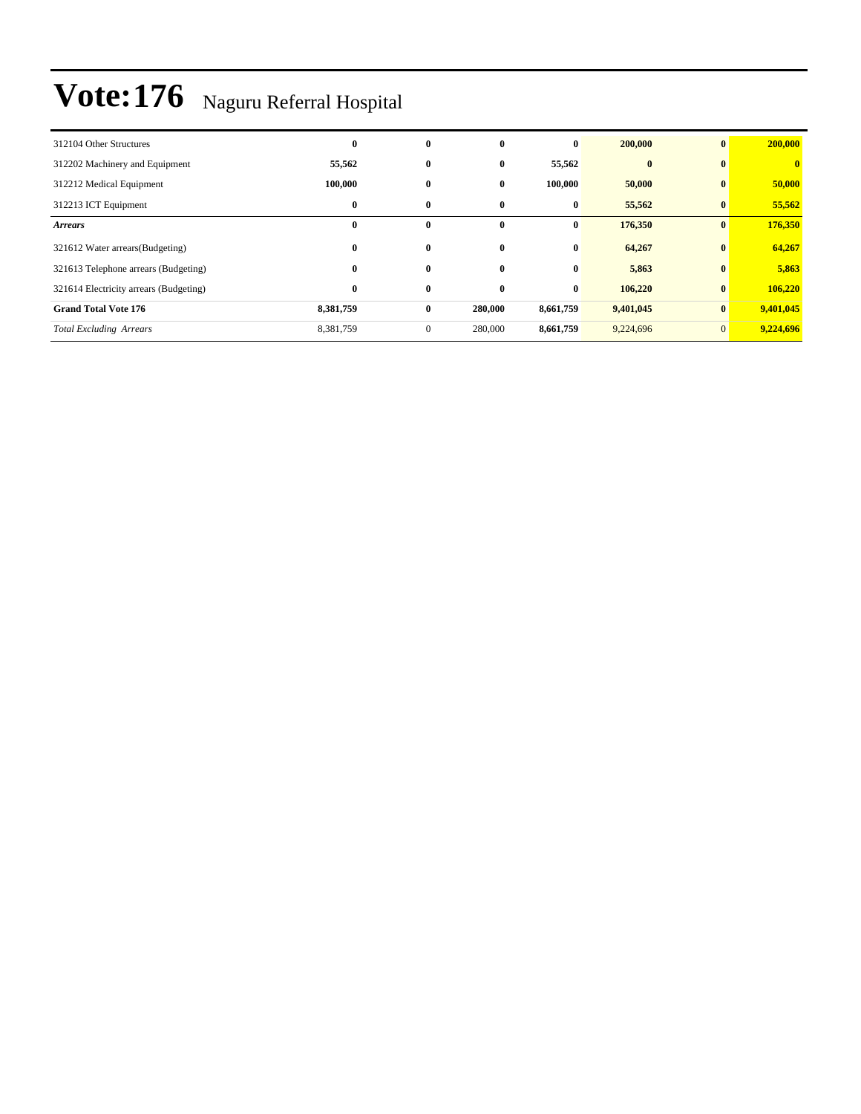| 312104 Other Structures                | $\bf{0}$  | $\bf{0}$     | $\mathbf{0}$ | $\bf{0}$  | 200,000   | $\mathbf{0}$ | 200,000                 |
|----------------------------------------|-----------|--------------|--------------|-----------|-----------|--------------|-------------------------|
| 312202 Machinery and Equipment         | 55,562    | $\bf{0}$     | $\bf{0}$     | 55,562    | $\bf{0}$  | $\bf{0}$     | $\overline{\mathbf{0}}$ |
| 312212 Medical Equipment               | 100,000   | $\bf{0}$     | $\bf{0}$     | 100,000   | 50,000    | $\bf{0}$     | 50,000                  |
| 312213 ICT Equipment                   | $\bf{0}$  | $\bf{0}$     | $\bf{0}$     | $\bf{0}$  | 55,562    | $\bf{0}$     | 55,562                  |
| <b>Arrears</b>                         | $\bf{0}$  | $\mathbf{0}$ | $\mathbf{0}$ | $\bf{0}$  | 176,350   | $\mathbf{0}$ | 176,350                 |
| 321612 Water arrears (Budgeting)       | $\bf{0}$  | $\bf{0}$     | $\mathbf{0}$ | $\bf{0}$  | 64,267    | $\bf{0}$     | 64,267                  |
| 321613 Telephone arrears (Budgeting)   | $\bf{0}$  | $\bf{0}$     | $\bf{0}$     | $\bf{0}$  | 5,863     | $\bf{0}$     | 5,863                   |
| 321614 Electricity arrears (Budgeting) | $\bf{0}$  | $\bf{0}$     | $\bf{0}$     | $\bf{0}$  | 106,220   | $\bf{0}$     | 106,220                 |
| <b>Grand Total Vote 176</b>            | 8,381,759 | $\bf{0}$     | 280,000      | 8,661,759 | 9,401,045 | $\bf{0}$     | 9,401,045               |
| <b>Total Excluding Arrears</b>         | 8,381,759 | $\mathbf{0}$ | 280,000      | 8,661,759 | 9,224,696 | $\mathbf{0}$ | 9,224,696               |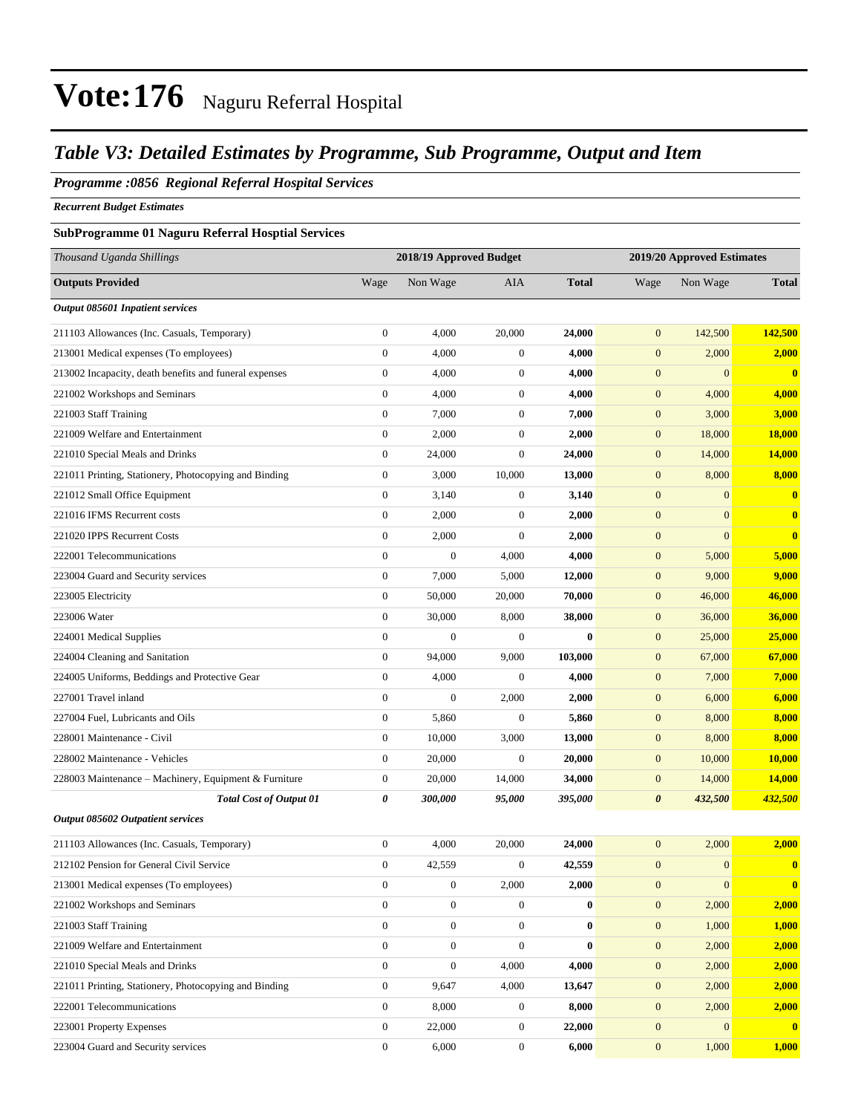### *Table V3: Detailed Estimates by Programme, Sub Programme, Output and Item*

#### *Programme :0856 Regional Referral Hospital Services*

*Recurrent Budget Estimates*

#### **SubProgramme 01 Naguru Referral Hosptial Services**

| Thousand Uganda Shillings                              | 2018/19 Approved Budget<br>2019/20 Approved Estimates |                  |                  |              |                  |                  |                         |  |
|--------------------------------------------------------|-------------------------------------------------------|------------------|------------------|--------------|------------------|------------------|-------------------------|--|
| <b>Outputs Provided</b>                                | Wage                                                  | Non Wage         | AIA              | <b>Total</b> | Wage             | Non Wage         | <b>Total</b>            |  |
| Output 085601 Inpatient services                       |                                                       |                  |                  |              |                  |                  |                         |  |
| 211103 Allowances (Inc. Casuals, Temporary)            | $\boldsymbol{0}$                                      | 4,000            | 20,000           | 24,000       | $\boldsymbol{0}$ | 142,500          | 142,500                 |  |
| 213001 Medical expenses (To employees)                 | $\boldsymbol{0}$                                      | 4,000            | $\boldsymbol{0}$ | 4,000        | $\boldsymbol{0}$ | 2,000            | 2,000                   |  |
| 213002 Incapacity, death benefits and funeral expenses | $\boldsymbol{0}$                                      | 4,000            | $\boldsymbol{0}$ | 4,000        | $\boldsymbol{0}$ | $\mathbf{0}$     | $\overline{\mathbf{0}}$ |  |
| 221002 Workshops and Seminars                          | $\boldsymbol{0}$                                      | 4,000            | $\boldsymbol{0}$ | 4,000        | $\boldsymbol{0}$ | 4,000            | 4,000                   |  |
| 221003 Staff Training                                  | $\boldsymbol{0}$                                      | 7,000            | $\boldsymbol{0}$ | 7,000        | $\boldsymbol{0}$ | 3,000            | 3,000                   |  |
| 221009 Welfare and Entertainment                       | $\boldsymbol{0}$                                      | 2,000            | $\boldsymbol{0}$ | 2,000        | $\boldsymbol{0}$ | 18,000           | 18,000                  |  |
| 221010 Special Meals and Drinks                        | $\boldsymbol{0}$                                      | 24,000           | $\boldsymbol{0}$ | 24,000       | $\boldsymbol{0}$ | 14,000           | 14,000                  |  |
| 221011 Printing, Stationery, Photocopying and Binding  | $\boldsymbol{0}$                                      | 3,000            | 10,000           | 13,000       | $\boldsymbol{0}$ | 8,000            | 8,000                   |  |
| 221012 Small Office Equipment                          | $\boldsymbol{0}$                                      | 3,140            | $\boldsymbol{0}$ | 3,140        | $\boldsymbol{0}$ | $\mathbf{0}$     | $\mathbf{0}$            |  |
| 221016 IFMS Recurrent costs                            | $\boldsymbol{0}$                                      | 2,000            | $\boldsymbol{0}$ | 2,000        | $\mathbf{0}$     | $\mathbf{0}$     | $\bf{0}$                |  |
| 221020 IPPS Recurrent Costs                            | $\boldsymbol{0}$                                      | 2,000            | $\boldsymbol{0}$ | 2,000        | $\boldsymbol{0}$ | $\mathbf{0}$     | $\bf{0}$                |  |
| 222001 Telecommunications                              | $\boldsymbol{0}$                                      | $\boldsymbol{0}$ | 4,000            | 4,000        | $\boldsymbol{0}$ | 5,000            | 5,000                   |  |
| 223004 Guard and Security services                     | $\boldsymbol{0}$                                      | 7,000            | 5,000            | 12,000       | $\boldsymbol{0}$ | 9,000            | 9,000                   |  |
| 223005 Electricity                                     | $\boldsymbol{0}$                                      | 50,000           | 20,000           | 70,000       | $\boldsymbol{0}$ | 46,000           | 46,000                  |  |
| 223006 Water                                           | $\boldsymbol{0}$                                      | 30,000           | 8,000            | 38,000       | $\boldsymbol{0}$ | 36,000           | 36,000                  |  |
| 224001 Medical Supplies                                | $\boldsymbol{0}$                                      | $\boldsymbol{0}$ | $\boldsymbol{0}$ | $\bf{0}$     | $\boldsymbol{0}$ | 25,000           | 25,000                  |  |
| 224004 Cleaning and Sanitation                         | $\boldsymbol{0}$                                      | 94,000           | 9,000            | 103,000      | $\boldsymbol{0}$ | 67,000           | 67,000                  |  |
| 224005 Uniforms, Beddings and Protective Gear          | $\boldsymbol{0}$                                      | 4,000            | $\boldsymbol{0}$ | 4,000        | $\boldsymbol{0}$ | 7,000            | 7,000                   |  |
| 227001 Travel inland                                   | $\boldsymbol{0}$                                      | $\boldsymbol{0}$ | 2,000            | 2,000        | $\boldsymbol{0}$ | 6,000            | 6,000                   |  |
| 227004 Fuel, Lubricants and Oils                       | $\boldsymbol{0}$                                      | 5,860            | $\boldsymbol{0}$ | 5,860        | $\boldsymbol{0}$ | 8,000            | 8,000                   |  |
| 228001 Maintenance - Civil                             | $\boldsymbol{0}$                                      | 10,000           | 3,000            | 13,000       | $\boldsymbol{0}$ | 8,000            | 8,000                   |  |
| 228002 Maintenance - Vehicles                          | $\boldsymbol{0}$                                      | 20,000           | $\boldsymbol{0}$ | 20,000       | $\boldsymbol{0}$ | 10,000           | 10,000                  |  |
| 228003 Maintenance - Machinery, Equipment & Furniture  | $\boldsymbol{0}$                                      | 20,000           | 14,000           | 34,000       | $\boldsymbol{0}$ | 14,000           | 14,000                  |  |
| <b>Total Cost of Output 01</b>                         | 0                                                     | 300,000          | 95,000           | 395,000      | 0                | 432,500          | 432,500                 |  |
| Output 085602 Outpatient services                      |                                                       |                  |                  |              |                  |                  |                         |  |
| 211103 Allowances (Inc. Casuals, Temporary)            | $\boldsymbol{0}$                                      | 4,000            | 20,000           | 24,000       | $\boldsymbol{0}$ | 2,000            | 2,000                   |  |
| 212102 Pension for General Civil Service               | $\boldsymbol{0}$                                      | 42,559           | $\boldsymbol{0}$ | 42,559       | $\boldsymbol{0}$ | $\mathbf{0}$     | $\mathbf{0}$            |  |
| 213001 Medical expenses (To employees)                 | $\boldsymbol{0}$                                      | $\boldsymbol{0}$ | 2,000            | 2,000        | $\boldsymbol{0}$ | $\boldsymbol{0}$ | $\bf{0}$                |  |
| 221002 Workshops and Seminars                          | $\boldsymbol{0}$                                      | $\boldsymbol{0}$ | $\boldsymbol{0}$ | $\bf{0}$     | $\boldsymbol{0}$ | 2,000            | 2,000                   |  |
| 221003 Staff Training                                  | $\boldsymbol{0}$                                      | $\boldsymbol{0}$ | $\boldsymbol{0}$ | $\bf{0}$     | $\mathbf{0}$     | 1,000            | <b>1,000</b>            |  |
| 221009 Welfare and Entertainment                       | $\boldsymbol{0}$                                      | $\boldsymbol{0}$ | $\boldsymbol{0}$ | $\bf{0}$     | $\boldsymbol{0}$ | 2,000            | 2,000                   |  |
| 221010 Special Meals and Drinks                        | $\boldsymbol{0}$                                      | $\boldsymbol{0}$ | 4,000            | 4,000        | $\boldsymbol{0}$ | 2,000            | 2,000                   |  |
| 221011 Printing, Stationery, Photocopying and Binding  | $\boldsymbol{0}$                                      | 9,647            | 4,000            | 13,647       | $\mathbf{0}$     | 2,000            | 2,000                   |  |
| 222001 Telecommunications                              | $\boldsymbol{0}$                                      | 8,000            | $\boldsymbol{0}$ | 8,000        | $\mathbf{0}$     | 2,000            | 2,000                   |  |
| 223001 Property Expenses                               | $\boldsymbol{0}$                                      | 22,000           | $\boldsymbol{0}$ | 22,000       | $\boldsymbol{0}$ | $\mathbf{0}$     | $\mathbf{0}$            |  |
| 223004 Guard and Security services                     | $\boldsymbol{0}$                                      | 6,000            | $\boldsymbol{0}$ | 6,000        | $\boldsymbol{0}$ | 1,000            | 1,000                   |  |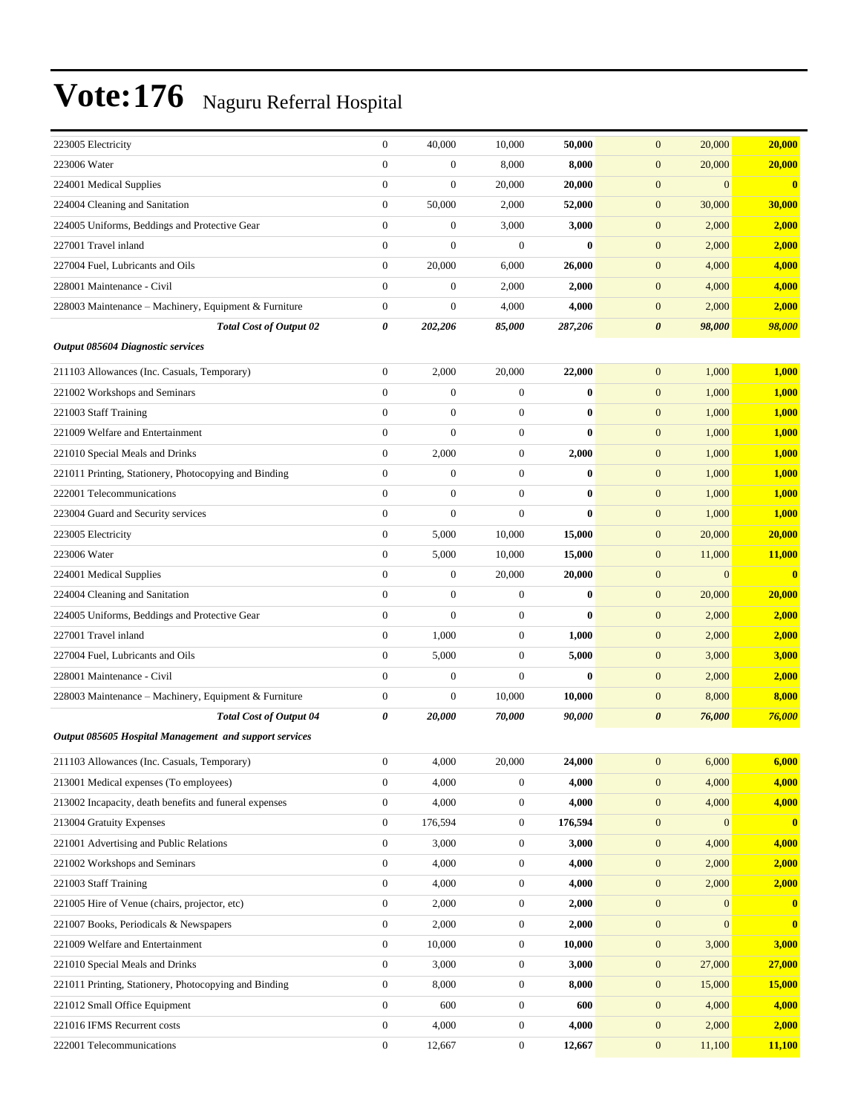| 223005 Electricity                                     | $\mathbf{0}$     | 40,000           | 10,000           | 50,000       | $\mathbf{0}$<br>20,000           | 20,000       |
|--------------------------------------------------------|------------------|------------------|------------------|--------------|----------------------------------|--------------|
| 223006 Water                                           | $\overline{0}$   | 0                | 8,000            | 8,000        | $\boldsymbol{0}$<br>20,000       | 20,000       |
| 224001 Medical Supplies                                | $\boldsymbol{0}$ | $\boldsymbol{0}$ | 20,000           | 20,000       | $\boldsymbol{0}$<br>$\mathbf{0}$ | $\mathbf{0}$ |
| 224004 Cleaning and Sanitation                         | $\boldsymbol{0}$ | 50,000           | 2,000            | 52,000       | $\boldsymbol{0}$<br>30,000       | 30,000       |
| 224005 Uniforms, Beddings and Protective Gear          | $\boldsymbol{0}$ | $\boldsymbol{0}$ | 3,000            | 3,000        | $\boldsymbol{0}$<br>2,000        | 2,000        |
| 227001 Travel inland                                   | $\boldsymbol{0}$ | $\overline{0}$   | $\mathbf{0}$     | $\mathbf{0}$ | $\boldsymbol{0}$<br>2,000        | 2,000        |
| 227004 Fuel, Lubricants and Oils                       | $\boldsymbol{0}$ | 20,000           | 6,000            | 26,000       | $\boldsymbol{0}$<br>4,000        | 4,000        |
| 228001 Maintenance - Civil                             | $\mathbf{0}$     | $\boldsymbol{0}$ | 2,000            | 2,000        | $\boldsymbol{0}$<br>4,000        | 4,000        |
| 228003 Maintenance - Machinery, Equipment & Furniture  | $\boldsymbol{0}$ | $\boldsymbol{0}$ | 4,000            | 4,000        | $\boldsymbol{0}$<br>2,000        | 2,000        |
| <b>Total Cost of Output 02</b>                         | 0                | 202,206          | 85,000           | 287,206      | $\boldsymbol{\theta}$<br>98,000  | 98,000       |
| Output 085604 Diagnostic services                      |                  |                  |                  |              |                                  |              |
| 211103 Allowances (Inc. Casuals, Temporary)            | $\boldsymbol{0}$ | 2,000            | 20,000           | 22,000       | $\boldsymbol{0}$<br>1,000        | 1,000        |
| 221002 Workshops and Seminars                          | $\overline{0}$   | $\boldsymbol{0}$ | $\mathbf{0}$     | $\bf{0}$     | $\boldsymbol{0}$<br>1,000        | 1,000        |
| 221003 Staff Training                                  | $\overline{0}$   | $\boldsymbol{0}$ | $\mathbf{0}$     | $\bf{0}$     | $\boldsymbol{0}$<br>1,000        | 1,000        |
| 221009 Welfare and Entertainment                       | $\overline{0}$   | $\overline{0}$   | $\boldsymbol{0}$ | $\bf{0}$     | $\boldsymbol{0}$<br>1,000        | 1,000        |
| 221010 Special Meals and Drinks                        | $\boldsymbol{0}$ | 2,000            | $\boldsymbol{0}$ | 2,000        | 1,000<br>$\boldsymbol{0}$        | 1,000        |
| 221011 Printing, Stationery, Photocopying and Binding  | $\boldsymbol{0}$ | $\boldsymbol{0}$ | $\mathbf{0}$     | $\bf{0}$     | $\boldsymbol{0}$<br>1,000        | 1,000        |
| 222001 Telecommunications                              | $\overline{0}$   | $\boldsymbol{0}$ | $\mathbf{0}$     | $\bf{0}$     | $\boldsymbol{0}$<br>1,000        | <b>1,000</b> |
| 223004 Guard and Security services                     | $\boldsymbol{0}$ | $\boldsymbol{0}$ | $\overline{0}$   | $\mathbf{0}$ | $\boldsymbol{0}$<br>1,000        | 1,000        |
| 223005 Electricity                                     | $\boldsymbol{0}$ | 5,000            | 10,000           | 15,000       | $\boldsymbol{0}$<br>20,000       | 20,000       |
| 223006 Water                                           | $\boldsymbol{0}$ | 5,000            | 10,000           | 15,000       | 11,000<br>$\boldsymbol{0}$       | 11,000       |
| 224001 Medical Supplies                                | $\boldsymbol{0}$ | $\boldsymbol{0}$ | 20,000           | 20,000       | $\boldsymbol{0}$<br>$\mathbf{0}$ | $\mathbf{0}$ |
| 224004 Cleaning and Sanitation                         | $\overline{0}$   | $\boldsymbol{0}$ | $\mathbf{0}$     | $\bf{0}$     | $\boldsymbol{0}$<br>20,000       | 20,000       |
| 224005 Uniforms, Beddings and Protective Gear          | $\mathbf{0}$     | $\overline{0}$   | $\mathbf{0}$     | $\mathbf{0}$ | $\boldsymbol{0}$<br>2,000        | 2,000        |
| 227001 Travel inland                                   | $\boldsymbol{0}$ | 1,000            | $\mathbf{0}$     | 1,000        | $\boldsymbol{0}$<br>2,000        | 2,000        |
| 227004 Fuel, Lubricants and Oils                       | $\boldsymbol{0}$ | 5,000            | $\mathbf{0}$     | 5,000        | 3,000<br>$\boldsymbol{0}$        | 3,000        |
| 228001 Maintenance - Civil                             | $\boldsymbol{0}$ | $\boldsymbol{0}$ | $\boldsymbol{0}$ | $\bf{0}$     | $\boldsymbol{0}$<br>2,000        | 2,000        |
| 228003 Maintenance – Machinery, Equipment & Furniture  | $\boldsymbol{0}$ | $\boldsymbol{0}$ | 10,000           | 10,000       | 8,000<br>$\boldsymbol{0}$        | 8,000        |
| <b>Total Cost of Output 04</b>                         | 0                | 20,000           | 70,000           | 90,000       | $\boldsymbol{\theta}$<br>76,000  | 76,000       |
| Output 085605 Hospital Management and support services |                  |                  |                  |              |                                  |              |
| 211103 Allowances (Inc. Casuals, Temporary)            | $\boldsymbol{0}$ | 4,000            | 20,000           | 24,000       | 6,000<br>$\mathbf{0}$            | 6,000        |
| 213001 Medical expenses (To employees)                 | $\mathbf{0}$     | 4,000            | $\boldsymbol{0}$ | 4,000        | 4,000<br>$\mathbf{0}$            | 4,000        |
| 213002 Incapacity, death benefits and funeral expenses | $\boldsymbol{0}$ | 4,000            | $\boldsymbol{0}$ | 4,000        | $\boldsymbol{0}$<br>4,000        | 4,000        |
| 213004 Gratuity Expenses                               | $\mathbf{0}$     | 176,594          | $\boldsymbol{0}$ | 176,594      | $\boldsymbol{0}$<br>$\mathbf{0}$ | $\mathbf{0}$ |
| 221001 Advertising and Public Relations                | $\mathbf{0}$     | 3,000            | $\mathbf{0}$     | 3,000        | $\boldsymbol{0}$<br>4,000        | 4,000        |
| 221002 Workshops and Seminars                          | $\mathbf{0}$     | 4,000            | $\boldsymbol{0}$ | 4,000        | $\boldsymbol{0}$<br>2,000        | 2,000        |
| 221003 Staff Training                                  | $\boldsymbol{0}$ | 4,000            | $\boldsymbol{0}$ | 4,000        | 2,000<br>$\mathbf{0}$            | 2,000        |
| 221005 Hire of Venue (chairs, projector, etc)          | $\boldsymbol{0}$ | 2,000            | $\boldsymbol{0}$ | 2,000        | $\boldsymbol{0}$<br>$\mathbf{0}$ | $\bf{0}$     |
| 221007 Books, Periodicals & Newspapers                 | $\boldsymbol{0}$ | 2,000            | $\boldsymbol{0}$ | 2,000        | $\boldsymbol{0}$<br>$\mathbf{0}$ | $\mathbf{0}$ |
| 221009 Welfare and Entertainment                       | $\boldsymbol{0}$ | 10,000           | $\mathbf{0}$     | 10,000       | $\boldsymbol{0}$<br>3,000        | 3,000        |
| 221010 Special Meals and Drinks                        | $\boldsymbol{0}$ | 3,000            | $\boldsymbol{0}$ | 3,000        | $\boldsymbol{0}$<br>27,000       | 27,000       |
| 221011 Printing, Stationery, Photocopying and Binding  | $\boldsymbol{0}$ | 8,000            | $\boldsymbol{0}$ | 8,000        | $\mathbf{0}$<br>15,000           | 15,000       |
| 221012 Small Office Equipment                          | $\boldsymbol{0}$ | 600              | $\boldsymbol{0}$ | 600          | $\boldsymbol{0}$<br>4,000        | 4,000        |
| 221016 IFMS Recurrent costs                            | $\boldsymbol{0}$ | 4,000            | $\boldsymbol{0}$ | 4,000        | $\boldsymbol{0}$<br>2,000        | 2,000        |
| 222001 Telecommunications                              | $\boldsymbol{0}$ | 12,667           | $\boldsymbol{0}$ | 12,667       | $\boldsymbol{0}$<br>11,100       | 11,100       |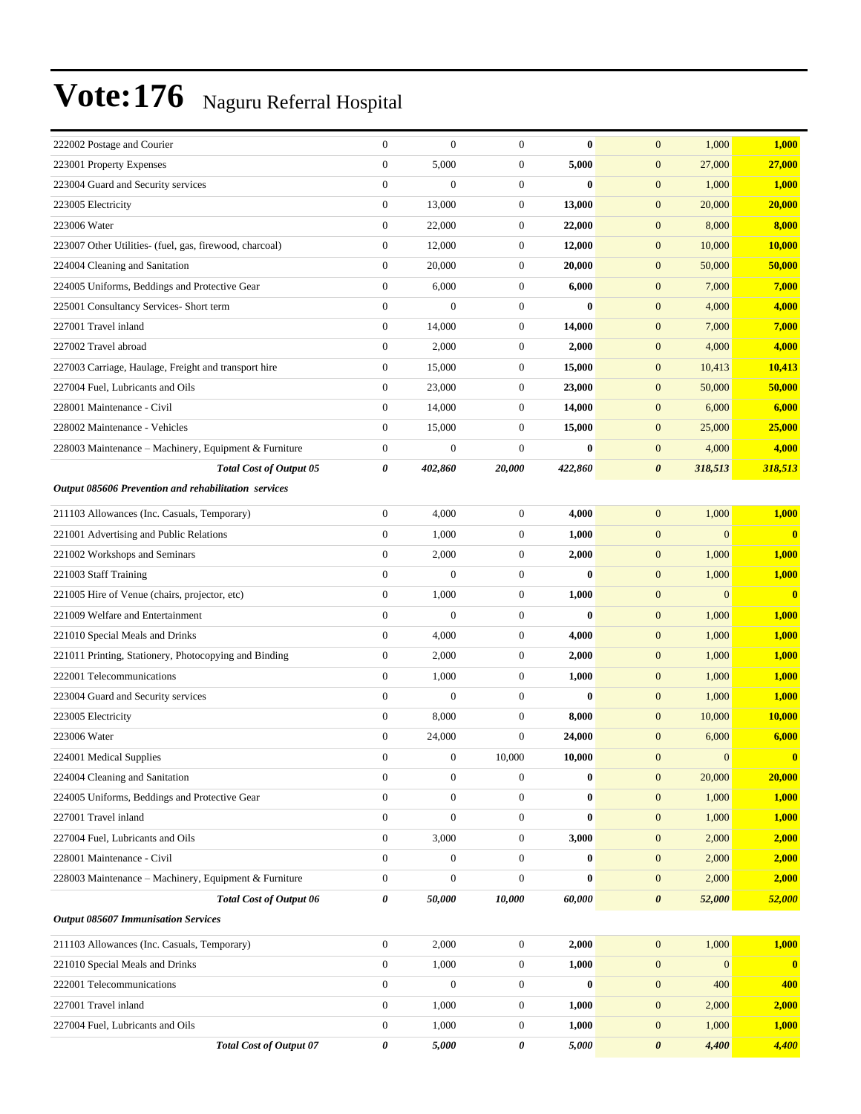| 222002 Postage and Courier                              | $\boldsymbol{0}$ | $\boldsymbol{0}$ | $\boldsymbol{0}$ | $\bf{0}$ | $\mathbf{0}$<br>1,000                | 1,000                   |
|---------------------------------------------------------|------------------|------------------|------------------|----------|--------------------------------------|-------------------------|
| 223001 Property Expenses                                | $\boldsymbol{0}$ | 5,000            | $\boldsymbol{0}$ | 5,000    | $\mathbf{0}$<br>27,000               | 27,000                  |
| 223004 Guard and Security services                      | $\boldsymbol{0}$ | $\boldsymbol{0}$ | $\mathbf{0}$     | $\bf{0}$ | $\boldsymbol{0}$<br>1,000            | 1,000                   |
| 223005 Electricity                                      | $\boldsymbol{0}$ | 13,000           | $\mathbf{0}$     | 13,000   | $\boldsymbol{0}$<br>20,000           | 20,000                  |
| 223006 Water                                            | $\boldsymbol{0}$ | 22,000           | $\boldsymbol{0}$ | 22,000   | $\mathbf{0}$<br>8,000                | 8,000                   |
| 223007 Other Utilities- (fuel, gas, firewood, charcoal) | $\boldsymbol{0}$ | 12,000           | $\mathbf{0}$     | 12,000   | $\mathbf{0}$<br>10,000               | 10,000                  |
| 224004 Cleaning and Sanitation                          | $\mathbf{0}$     | 20,000           | $\mathbf{0}$     | 20,000   | $\mathbf{0}$<br>50,000               | 50,000                  |
| 224005 Uniforms, Beddings and Protective Gear           | $\boldsymbol{0}$ | 6,000            | $\mathbf{0}$     | 6,000    | $\boldsymbol{0}$<br>7,000            | 7,000                   |
| 225001 Consultancy Services- Short term                 | $\overline{0}$   | $\overline{0}$   | $\mathbf{0}$     | $\bf{0}$ | $\boldsymbol{0}$<br>4,000            | 4,000                   |
| 227001 Travel inland                                    | $\boldsymbol{0}$ | 14,000           | $\mathbf{0}$     | 14,000   | $\mathbf{0}$<br>7,000                | 7,000                   |
| 227002 Travel abroad                                    | $\boldsymbol{0}$ | 2,000            | $\mathbf{0}$     | 2,000    | $\mathbf{0}$<br>4,000                | 4,000                   |
| 227003 Carriage, Haulage, Freight and transport hire    | $\mathbf{0}$     | 15,000           | $\boldsymbol{0}$ | 15,000   | $\mathbf{0}$<br>10,413               | 10,413                  |
| 227004 Fuel, Lubricants and Oils                        | $\boldsymbol{0}$ | 23,000           | $\mathbf{0}$     | 23,000   | $\boldsymbol{0}$<br>50,000           | 50,000                  |
| 228001 Maintenance - Civil                              | $\boldsymbol{0}$ | 14,000           | $\mathbf{0}$     | 14,000   | $\mathbf{0}$<br>6,000                | 6,000                   |
| 228002 Maintenance - Vehicles                           | $\boldsymbol{0}$ | 15,000           | $\mathbf{0}$     | 15,000   | $\mathbf{0}$<br>25,000               | 25,000                  |
| 228003 Maintenance - Machinery, Equipment & Furniture   | $\boldsymbol{0}$ | $\boldsymbol{0}$ | $\mathbf{0}$     | $\bf{0}$ | $\mathbf{0}$<br>4,000                | 4,000                   |
| <b>Total Cost of Output 05</b>                          | 0                | 402,860          | 20,000           | 422,860  | 318,513<br>$\boldsymbol{\theta}$     | 318,513                 |
| Output 085606 Prevention and rehabilitation services    |                  |                  |                  |          |                                      |                         |
| 211103 Allowances (Inc. Casuals, Temporary)             | $\boldsymbol{0}$ | 4,000            | $\boldsymbol{0}$ | 4,000    | 1,000<br>$\mathbf{0}$                | 1,000                   |
| 221001 Advertising and Public Relations                 | $\boldsymbol{0}$ | 1,000            | $\mathbf{0}$     | 1,000    | $\boldsymbol{0}$<br>$\overline{0}$   | $\overline{\mathbf{0}}$ |
| 221002 Workshops and Seminars                           | $\boldsymbol{0}$ | 2,000            | $\mathbf{0}$     | 2,000    | 1,000<br>$\mathbf{0}$                | 1,000                   |
| 221003 Staff Training                                   | $\boldsymbol{0}$ | $\overline{0}$   | $\mathbf{0}$     | $\bf{0}$ | $\boldsymbol{0}$<br>1,000            | 1,000                   |
| 221005 Hire of Venue (chairs, projector, etc)           | $\mathbf{0}$     | 1,000            | $\mathbf{0}$     | 1,000    | $\boldsymbol{0}$<br>$\overline{0}$   | $\mathbf{0}$            |
| 221009 Welfare and Entertainment                        | $\boldsymbol{0}$ | $\overline{0}$   | $\mathbf{0}$     | $\bf{0}$ | $\mathbf{0}$<br>1,000                | 1,000                   |
| 221010 Special Meals and Drinks                         | $\overline{0}$   | 4,000            | $\mathbf{0}$     | 4,000    | $\boldsymbol{0}$<br>1,000            | 1,000                   |
| 221011 Printing, Stationery, Photocopying and Binding   | $\boldsymbol{0}$ | 2,000            | $\boldsymbol{0}$ | 2,000    | $\boldsymbol{0}$<br>1,000            | 1,000                   |
| 222001 Telecommunications                               | $\boldsymbol{0}$ | 1,000            | $\mathbf{0}$     | 1,000    | $\boldsymbol{0}$<br>1,000            | 1,000                   |
| 223004 Guard and Security services                      | $\boldsymbol{0}$ | $\overline{0}$   | $\mathbf{0}$     | $\bf{0}$ | $\mathbf{0}$<br>1,000                | 1,000                   |
| 223005 Electricity                                      | $\boldsymbol{0}$ | 8,000            | $\mathbf{0}$     | 8,000    | $\mathbf{0}$<br>10,000               | 10,000                  |
| 223006 Water                                            | $\boldsymbol{0}$ | 24,000           | $\boldsymbol{0}$ | 24,000   | $\boldsymbol{0}$<br>6,000            | 6,000                   |
| 224001 Medical Supplies                                 | $\overline{0}$   | $\boldsymbol{0}$ | 10,000           | 10,000   | $\mathbf{0}$<br>$\overline{0}$       | $\mathbf{0}$            |
| 224004 Cleaning and Sanitation                          | $\boldsymbol{0}$ | $\boldsymbol{0}$ | $\boldsymbol{0}$ | $\bf{0}$ | 20,000<br>$\mathbf{0}$               | 20,000                  |
| 224005 Uniforms, Beddings and Protective Gear           | $\boldsymbol{0}$ | $\boldsymbol{0}$ | $\boldsymbol{0}$ | $\bf{0}$ | $\mathbf{0}$<br>1,000                | 1,000                   |
| 227001 Travel inland                                    | $\boldsymbol{0}$ | $\boldsymbol{0}$ | $\boldsymbol{0}$ | $\bf{0}$ | $\boldsymbol{0}$<br>1,000            | 1,000                   |
| 227004 Fuel, Lubricants and Oils                        | $\mathbf{0}$     | 3,000            | $\boldsymbol{0}$ | 3,000    | $\boldsymbol{0}$<br>2,000            | 2,000                   |
| 228001 Maintenance - Civil                              | $\boldsymbol{0}$ | $\boldsymbol{0}$ | $\mathbf{0}$     | $\bf{0}$ | $\mathbf{0}$<br>2,000                | 2,000                   |
| 228003 Maintenance - Machinery, Equipment & Furniture   | $\boldsymbol{0}$ | $\boldsymbol{0}$ | $\mathbf{0}$     | $\bf{0}$ | $\mathbf{0}$<br>2,000                | 2,000                   |
| <b>Total Cost of Output 06</b>                          | 0                | 50,000           | 10,000           | 60,000   | 52,000<br>$\boldsymbol{\theta}$      | 52,000                  |
| <b>Output 085607 Immunisation Services</b>              |                  |                  |                  |          |                                      |                         |
| 211103 Allowances (Inc. Casuals, Temporary)             | $\boldsymbol{0}$ | 2,000            | $\mathbf{0}$     | 2,000    | $\mathbf{0}$<br>1,000                | 1,000                   |
| 221010 Special Meals and Drinks                         | $\overline{0}$   | 1,000            | $\boldsymbol{0}$ | 1,000    | $\boldsymbol{0}$<br>$\boldsymbol{0}$ | $\mathbf{0}$            |
| 222001 Telecommunications                               | $\boldsymbol{0}$ | $\boldsymbol{0}$ | $\boldsymbol{0}$ | $\bf{0}$ | $\mathbf{0}$<br>400                  | 400                     |
| 227001 Travel inland                                    | $\boldsymbol{0}$ | 1,000            | $\boldsymbol{0}$ | 1,000    | $\mathbf{0}$<br>2,000                | 2,000                   |
| 227004 Fuel, Lubricants and Oils                        | $\boldsymbol{0}$ | 1,000            | $\boldsymbol{0}$ | 1,000    | $\boldsymbol{0}$<br>1,000            | 1,000                   |
| <b>Total Cost of Output 07</b>                          | 0                | 5,000            | 0                | 5,000    | $\pmb{\theta}$<br>4,400              | 4,400                   |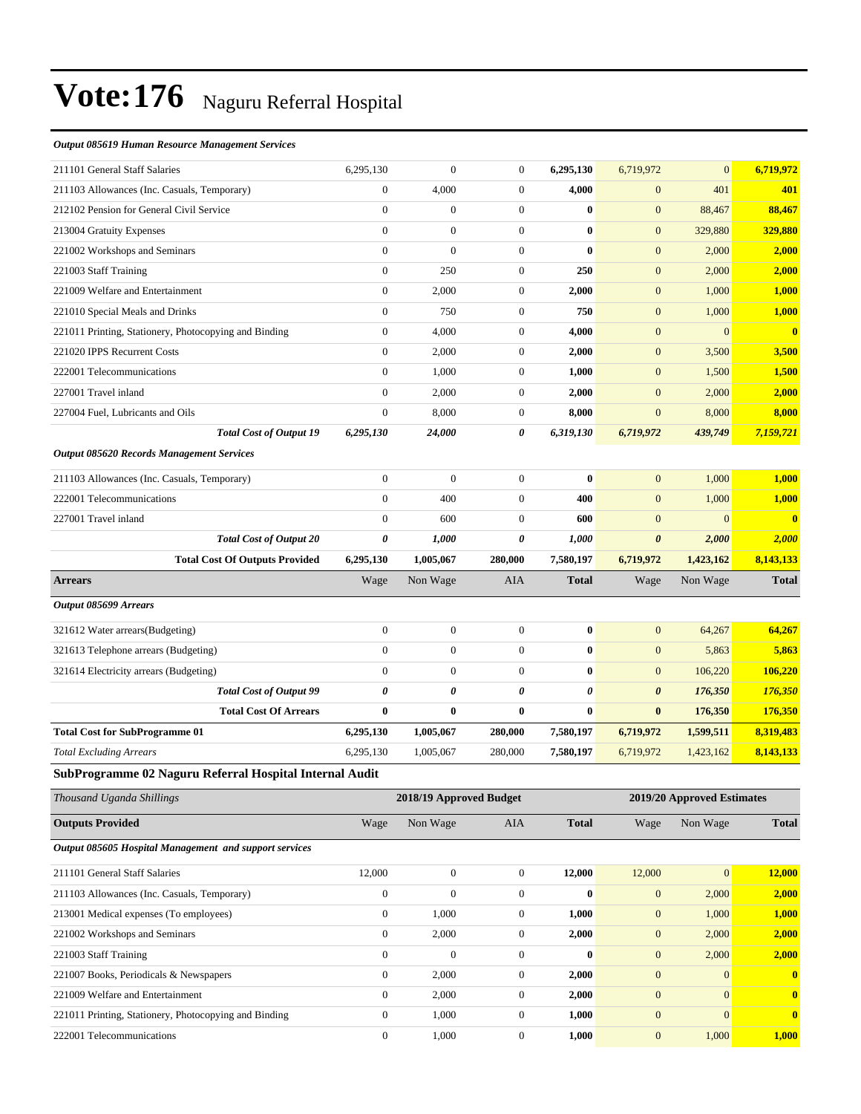#### *Output 085619 Human Resource Management Services*

| 211101 General Staff Salaries                           | 6,295,130        | $\boldsymbol{0}$        | 0                | 6,295,130    | 6,719,972             | $\mathbf{0}$               | 6,719,972    |
|---------------------------------------------------------|------------------|-------------------------|------------------|--------------|-----------------------|----------------------------|--------------|
| 211103 Allowances (Inc. Casuals, Temporary)             | $\mathbf{0}$     | 4,000                   | $\boldsymbol{0}$ | 4,000        | $\mathbf{0}$          | 401                        | 401          |
| 212102 Pension for General Civil Service                | $\boldsymbol{0}$ | $\boldsymbol{0}$        | $\boldsymbol{0}$ | $\bf{0}$     | $\mathbf{0}$          | 88,467                     | 88,467       |
| 213004 Gratuity Expenses                                | $\overline{0}$   | $\boldsymbol{0}$        | $\boldsymbol{0}$ | $\bf{0}$     | $\mathbf{0}$          | 329,880                    | 329,880      |
| 221002 Workshops and Seminars                           | $\boldsymbol{0}$ | $\overline{0}$          | $\boldsymbol{0}$ | $\bf{0}$     | $\mathbf{0}$          | 2,000                      | 2,000        |
| 221003 Staff Training                                   | $\overline{0}$   | 250                     | $\boldsymbol{0}$ | 250          | $\mathbf{0}$          | 2,000                      | 2,000        |
| 221009 Welfare and Entertainment                        | $\mathbf{0}$     | 2,000                   | $\boldsymbol{0}$ | 2,000        | $\mathbf{0}$          | 1,000                      | 1,000        |
| 221010 Special Meals and Drinks                         | $\mathbf{0}$     | 750                     | $\boldsymbol{0}$ | 750          | $\mathbf{0}$          | 1,000                      | 1,000        |
| 221011 Printing, Stationery, Photocopying and Binding   | $\boldsymbol{0}$ | 4,000                   | $\boldsymbol{0}$ | 4,000        | $\mathbf{0}$          | $\boldsymbol{0}$           | $\mathbf{0}$ |
| 221020 IPPS Recurrent Costs                             | $\mathbf{0}$     | 2,000                   | $\boldsymbol{0}$ | 2,000        | $\mathbf{0}$          | 3,500                      | 3,500        |
| 222001 Telecommunications                               | $\overline{0}$   | 1,000                   | $\boldsymbol{0}$ | 1,000        | $\mathbf{0}$          | 1,500                      | 1,500        |
| 227001 Travel inland                                    | $\mathbf{0}$     | 2,000                   | $\boldsymbol{0}$ | 2,000        | $\mathbf{0}$          | 2,000                      | 2,000        |
| 227004 Fuel, Lubricants and Oils                        | $\mathbf{0}$     | 8,000                   | 0                | 8,000        | $\mathbf{0}$          | 8,000                      | 8,000        |
| <b>Total Cost of Output 19</b>                          | 6,295,130        | 24,000                  | 0                | 6,319,130    | 6,719,972             | 439,749                    | 7,159,721    |
| <b>Output 085620 Records Management Services</b>        |                  |                         |                  |              |                       |                            |              |
| 211103 Allowances (Inc. Casuals, Temporary)             | $\boldsymbol{0}$ | $\mathbf{0}$            | $\mathbf{0}$     | $\bf{0}$     | $\mathbf{0}$          | 1,000                      | 1,000        |
| 222001 Telecommunications                               | $\overline{0}$   | 400                     | $\boldsymbol{0}$ | 400          | $\mathbf{0}$          | 1,000                      | 1,000        |
| 227001 Travel inland                                    | $\mathbf{0}$     | 600                     | $\boldsymbol{0}$ | 600          | $\mathbf{0}$          | $\overline{0}$             | $\bf{0}$     |
| <b>Total Cost of Output 20</b>                          | 0                | 1,000                   | 0                | 1,000        | $\boldsymbol{\theta}$ | 2,000                      | 2,000        |
| <b>Total Cost Of Outputs Provided</b>                   | 6,295,130        | 1,005,067               | 280,000          | 7,580,197    | 6,719,972             | 1,423,162                  | 8,143,133    |
| <b>Arrears</b>                                          | Wage             | Non Wage                | AIA              | <b>Total</b> | Wage                  | Non Wage                   | <b>Total</b> |
| Output 085699 Arrears                                   |                  |                         |                  |              |                       |                            |              |
| 321612 Water arrears(Budgeting)                         | $\boldsymbol{0}$ | $\boldsymbol{0}$        | $\mathbf{0}$     | $\bf{0}$     | $\mathbf{0}$          | 64,267                     | 64,267       |
| 321613 Telephone arrears (Budgeting)                    | $\overline{0}$   | $\boldsymbol{0}$        | $\boldsymbol{0}$ | $\bf{0}$     | $\mathbf{0}$          | 5,863                      | 5,863        |
| 321614 Electricity arrears (Budgeting)                  | $\mathbf{0}$     | $\boldsymbol{0}$        | $\boldsymbol{0}$ | $\bf{0}$     | $\mathbf{0}$          | 106,220                    | 106,220      |
| <b>Total Cost of Output 99</b>                          | 0                | 0                       | 0                | 0            | $\boldsymbol{\theta}$ | 176,350                    | 176,350      |
| <b>Total Cost Of Arrears</b>                            | $\bf{0}$         | 0                       | $\bf{0}$         | $\bf{0}$     | $\bf{0}$              | 176,350                    | 176,350      |
| <b>Total Cost for SubProgramme 01</b>                   | 6,295,130        | 1,005,067               | 280,000          | 7,580,197    | 6,719,972             | 1,599,511                  | 8,319,483    |
| <b>Total Excluding Arrears</b>                          | 6,295,130        | 1,005,067               | 280,000          | 7,580,197    | 6,719,972             | 1,423,162                  | 8,143,133    |
| SubProgramme 02 Naguru Referral Hospital Internal Audit |                  |                         |                  |              |                       |                            |              |
| Thousand Uganda Shillings                               |                  | 2018/19 Approved Budget |                  |              |                       | 2019/20 Approved Estimates |              |
| <b>Outputs Provided</b>                                 | Wage             | Non Wage                | AIA              | <b>Total</b> | Wage                  | Non Wage                   | <b>Total</b> |
| Output 085605 Hospital Management and support services  |                  |                         |                  |              |                       |                            |              |
| 211101 General Staff Salaries                           | 12,000           | $\boldsymbol{0}$        | $\boldsymbol{0}$ | 12,000       | 12,000                | $\overline{0}$             | 12,000       |
| 211103 Allowances (Inc. Casuals, Temporary)             | $\boldsymbol{0}$ | $\boldsymbol{0}$        | $\boldsymbol{0}$ | $\bf{0}$     | $\mathbf{0}$          | 2,000                      | 2,000        |
| 213001 Medical expenses (To employees)                  | $\boldsymbol{0}$ | 1,000                   | $\boldsymbol{0}$ | 1,000        | $\mathbf{0}$          | 1,000                      | 1,000        |
| 221002 Workshops and Seminars                           | $\boldsymbol{0}$ | 2,000                   | $\boldsymbol{0}$ | 2,000        | $\mathbf{0}$          | 2,000                      | 2,000        |
| 221003 Staff Training                                   | $\boldsymbol{0}$ | $\boldsymbol{0}$        | $\boldsymbol{0}$ | $\bf{0}$     | $\mathbf{0}$          | 2,000                      | 2,000        |
| 221007 Books, Periodicals & Newspapers                  | $\mathbf{0}$     | 2,000                   | $\boldsymbol{0}$ | 2,000        | $\mathbf{0}$          | $\overline{0}$             | $\bf{0}$     |
| 221009 Welfare and Entertainment                        | $\mathbf{0}$     | 2,000                   | 0                | 2,000        | $\mathbf{0}$          | $\overline{0}$             | $\bf{0}$     |
| 221011 Printing, Stationery, Photocopying and Binding   | $\boldsymbol{0}$ | 1,000                   | $\boldsymbol{0}$ | 1,000        | $\boldsymbol{0}$      | $\boldsymbol{0}$           | $\mathbf{0}$ |
| 222001 Telecommunications                               | $\boldsymbol{0}$ | 1,000                   | $\overline{0}$   | 1,000        | $\mathbf{0}$          | 1,000                      | 1,000        |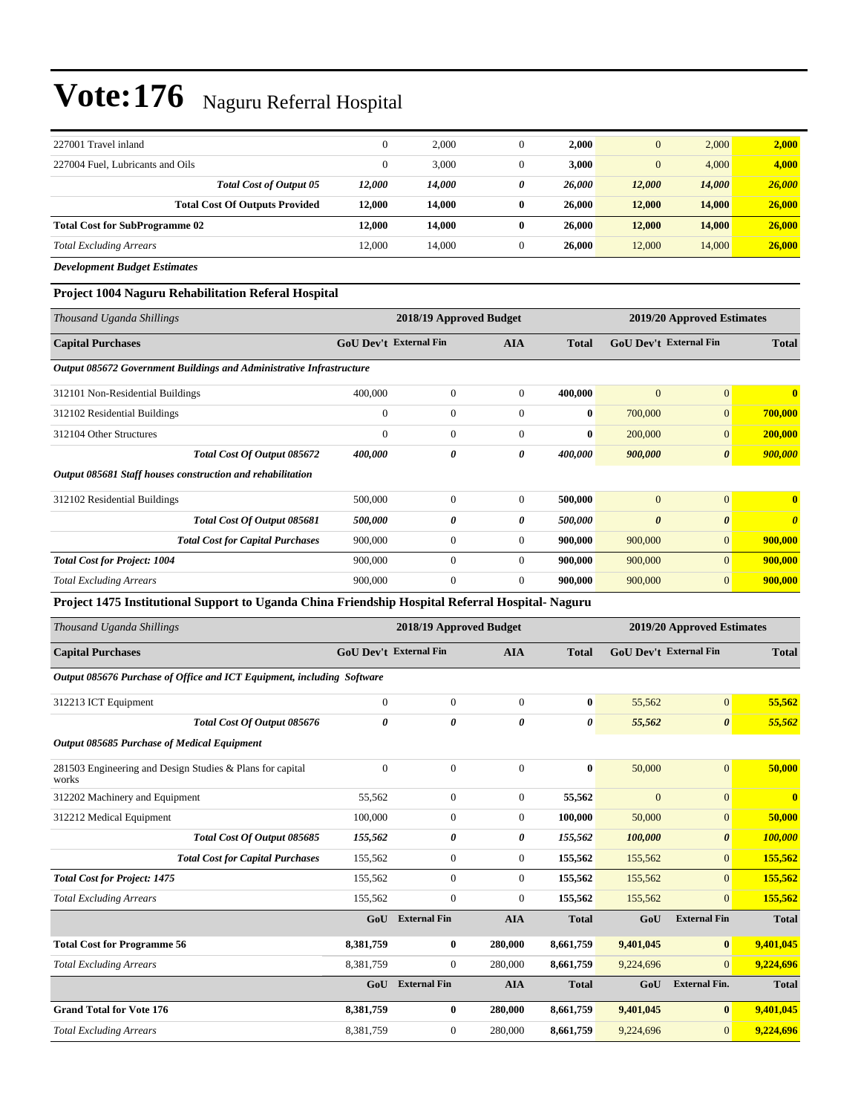| 227001 Travel inland                                    | $\theta$     | 2,000  | U        | 2.000  | $\overline{0}$ | 2,000  | 2,000  |
|---------------------------------------------------------|--------------|--------|----------|--------|----------------|--------|--------|
| 227004 Fuel, Lubricants and Oils                        | $\mathbf{0}$ | 3,000  | 0        | 3.000  | $\mathbf{0}$   | 4,000  | 4,000  |
| <b>Total Cost of Output 05</b>                          | 12.000       | 14,000 | 0        | 26,000 | 12,000         | 14,000 | 26,000 |
| <b>Total Cost Of Outputs Provided</b>                   | 12.000       | 14.000 | $\bf{0}$ | 26,000 | 12,000         | 14,000 | 26,000 |
| <b>Total Cost for SubProgramme 02</b>                   | 12.000       | 14,000 | 0        | 26,000 | 12,000         | 14,000 | 26,000 |
| <b>Total Excluding Arrears</b>                          | 12,000       | 14,000 | $\theta$ | 26,000 | 12,000         | 14,000 | 26,000 |
| $D_{\text{max}}$ <i>Lemma and Davison Davison at an</i> |              |        |          |        |                |        |        |

*Development Budget Estimates*

### **Project 1004 Naguru Rehabilitation Referal Hospital**

| Thousand Uganda Shillings                                                                       |                        | 2018/19 Approved Budget |                       |              | 2019/20 Approved Estimates |                        |                       |  |
|-------------------------------------------------------------------------------------------------|------------------------|-------------------------|-----------------------|--------------|----------------------------|------------------------|-----------------------|--|
| <b>Capital Purchases</b>                                                                        | GoU Dev't External Fin |                         | <b>AIA</b>            | <b>Total</b> |                            | GoU Dev't External Fin | <b>Total</b>          |  |
| Output 085672 Government Buildings and Administrative Infrastructure                            |                        |                         |                       |              |                            |                        |                       |  |
| 312101 Non-Residential Buildings                                                                | 400,000                | $\boldsymbol{0}$        | $\boldsymbol{0}$      | 400,000      | $\mathbf{0}$               | $\overline{0}$         | $\bf{0}$              |  |
| 312102 Residential Buildings                                                                    | $\boldsymbol{0}$       | $\boldsymbol{0}$        | $\boldsymbol{0}$      | $\bf{0}$     | 700,000                    | $\boldsymbol{0}$       | 700,000               |  |
| 312104 Other Structures                                                                         | $\boldsymbol{0}$       | $\boldsymbol{0}$        | $\boldsymbol{0}$      | $\bf{0}$     | 200,000                    | $\boldsymbol{0}$       | 200,000               |  |
| Total Cost Of Output 085672                                                                     | 400,000                | 0                       | 0                     | 400,000      | 900,000                    | $\boldsymbol{\theta}$  | 900,000               |  |
| Output 085681 Staff houses construction and rehabilitation                                      |                        |                         |                       |              |                            |                        |                       |  |
| 312102 Residential Buildings                                                                    | 500,000                | $\boldsymbol{0}$        | $\boldsymbol{0}$      | 500,000      | $\mathbf{0}$               | $\overline{0}$         | $\bf{0}$              |  |
| Total Cost Of Output 085681                                                                     | 500,000                | 0                       | 0                     | 500,000      | $\boldsymbol{\theta}$      | 0                      | $\boldsymbol{\theta}$ |  |
| <b>Total Cost for Capital Purchases</b>                                                         | 900,000                | $\boldsymbol{0}$        | $\mathbf{0}$          | 900,000      | 900,000                    | $\overline{0}$         | 900,000               |  |
| <b>Total Cost for Project: 1004</b>                                                             | 900,000                | $\boldsymbol{0}$        | $\boldsymbol{0}$      | 900,000      | 900,000                    | $\overline{0}$         | 900,000               |  |
| <b>Total Excluding Arrears</b>                                                                  | 900,000                | $\overline{0}$          | $\boldsymbol{0}$      | 900,000      | 900,000                    | $\overline{0}$         | 900,000               |  |
| Project 1475 Institutional Support to Uganda China Friendship Hospital Referral Hospital-Naguru |                        |                         |                       |              |                            |                        |                       |  |
| Thousand Uganda Shillings                                                                       |                        | 2018/19 Approved Budget |                       |              | 2019/20 Approved Estimates |                        |                       |  |
| <b>Capital Purchases</b>                                                                        | GoU Dev't External Fin |                         | AIA                   | <b>Total</b> |                            | GoU Dev't External Fin | <b>Total</b>          |  |
| Output 085676 Purchase of Office and ICT Equipment, including Software                          |                        |                         |                       |              |                            |                        |                       |  |
| 312213 ICT Equipment                                                                            | $\boldsymbol{0}$       | $\boldsymbol{0}$        | $\boldsymbol{0}$      | $\bf{0}$     | 55,562                     | $\overline{0}$         | 55,562                |  |
| Total Cost Of Output 085676                                                                     | 0                      | 0                       | $\boldsymbol{\theta}$ | 0            | 55,562                     | $\boldsymbol{\theta}$  | 55,562                |  |
| Output 085685 Purchase of Medical Equipment                                                     |                        |                         |                       |              |                            |                        |                       |  |
| 281503 Engineering and Design Studies & Plans for capital<br>works                              | $\overline{0}$         | $\boldsymbol{0}$        | $\boldsymbol{0}$      | $\bf{0}$     | 50,000                     | $\overline{0}$         | 50,000                |  |
| 312202 Machinery and Equipment                                                                  | 55,562                 | $\boldsymbol{0}$        | $\mathbf{0}$          | 55,562       | $\mathbf{0}$               | $\overline{0}$         | $\bf{0}$              |  |
| 312212 Medical Equipment                                                                        | 100,000                | $\boldsymbol{0}$        | $\boldsymbol{0}$      | 100,000      | 50,000                     | $\boldsymbol{0}$       | 50,000                |  |
| Total Cost Of Output 085685                                                                     | 155,562                | 0                       | $\pmb{\theta}$        | 155,562      | 100,000                    | $\boldsymbol{\theta}$  | 100,000               |  |
| <b>Total Cost for Capital Purchases</b>                                                         | 155,562                | $\boldsymbol{0}$        | $\boldsymbol{0}$      | 155,562      | 155,562                    | $\overline{0}$         | 155,562               |  |
| <b>Total Cost for Project: 1475</b>                                                             | 155,562                | $\boldsymbol{0}$        | $\mathbf{0}$          | 155,562      | 155,562                    | $\overline{0}$         | 155,562               |  |
| <b>Total Excluding Arrears</b>                                                                  | 155,562                | $\boldsymbol{0}$        | $\mathbf{0}$          | 155,562      | 155,562                    | $\overline{0}$         | 155,562               |  |
|                                                                                                 | GoU                    | <b>External Fin</b>     | <b>AIA</b>            | <b>Total</b> | GoU                        | <b>External Fin</b>    | <b>Total</b>          |  |
| <b>Total Cost for Programme 56</b>                                                              | 8,381,759              | 0                       | 280,000               | 8,661,759    | 9,401,045                  | $\bf{0}$               | 9,401,045             |  |
| <b>Total Excluding Arrears</b>                                                                  | 8,381,759              | $\boldsymbol{0}$        | 280,000               | 8,661,759    | 9,224,696                  | $\overline{0}$         | 9,224,696             |  |
|                                                                                                 |                        | GoU External Fin        | <b>AIA</b>            | <b>Total</b> | GoU                        | <b>External Fin.</b>   | <b>Total</b>          |  |
| <b>Grand Total for Vote 176</b>                                                                 | 8,381,759              | 0                       | 280,000               | 8,661,759    | 9,401,045                  | $\bf{0}$               | 9,401,045             |  |
| <b>Total Excluding Arrears</b>                                                                  | 8,381,759              | $\boldsymbol{0}$        | 280,000               | 8,661,759    | 9,224,696                  | $\overline{0}$         | 9,224,696             |  |